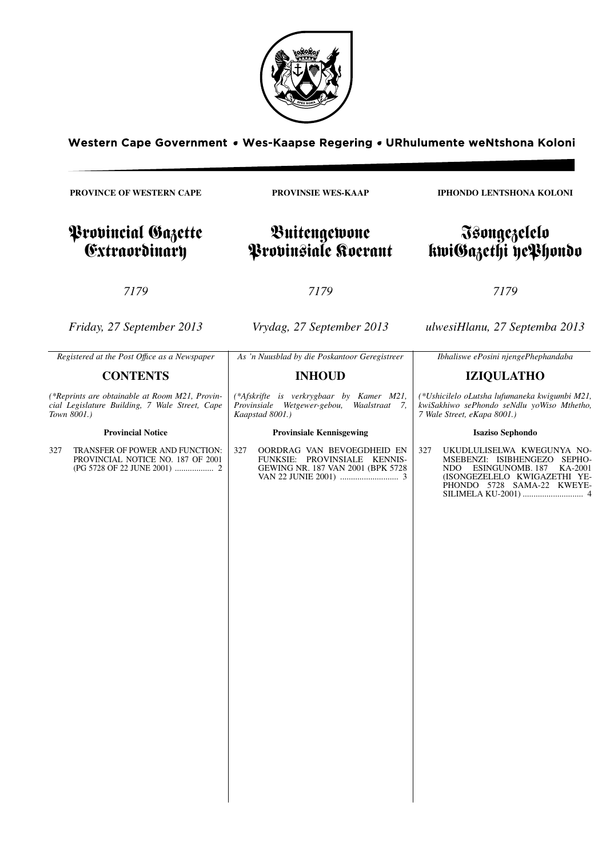

Western Cape Government . Wes-Kaapse Regering . URhulumente weNtshona Koloni

**PROVINCE OF WESTERN CAPE**

# Provincial Gazette Extraordinary

**PROVINSIE WES-KAAP**

# Buitengewone Provinsiale Koerant

*7179*

*Friday, 27 September 2013*

*Vrydag, 27 September 2013*

*7179*

*ulwesiHlanu, 27 Septemba 2013*

| As 'n Nuusblad by die Poskantoor Geregistreer<br>Registered at the Post Office as a Newspaper<br>Ibhaliswe ePosini njengePhephandaba<br><b>CONTENTS</b><br><b>INHOUD</b><br><b>IZIQULATHO</b><br>(*Reprints are obtainable at Room M21, Provin-<br>(*Afskrifte is verkrygbaar by Kamer M21,<br>cial Legislature Building, 7 Wale Street, Cape<br>Provinsiale Wetgewer-gebou,<br>Waalstraat 7,<br>Town 8001.)<br>Kaapstad 8001.)<br>7 Wale Street, eKapa 8001.)<br><b>Provincial Notice</b><br><b>Provinsiale Kennisgewing</b><br><b>Isaziso Sephondo</b><br>TRANSFER OF POWER AND FUNCTION:<br>327<br>OORDRAG VAN BEVOEGDHEID EN<br>327<br>327<br>FUNKSIE: PROVINSIALE KENNIS-<br>PROVINCIAL NOTICE NO. 187 OF 2001<br>GEWING NR. 187 VAN 2001 (BPK 5728<br>ESINGUNOMB. 187<br>NDO. |  |                                                                                                                                     |
|-------------------------------------------------------------------------------------------------------------------------------------------------------------------------------------------------------------------------------------------------------------------------------------------------------------------------------------------------------------------------------------------------------------------------------------------------------------------------------------------------------------------------------------------------------------------------------------------------------------------------------------------------------------------------------------------------------------------------------------------------------------------------------------|--|-------------------------------------------------------------------------------------------------------------------------------------|
|                                                                                                                                                                                                                                                                                                                                                                                                                                                                                                                                                                                                                                                                                                                                                                                     |  |                                                                                                                                     |
|                                                                                                                                                                                                                                                                                                                                                                                                                                                                                                                                                                                                                                                                                                                                                                                     |  |                                                                                                                                     |
|                                                                                                                                                                                                                                                                                                                                                                                                                                                                                                                                                                                                                                                                                                                                                                                     |  | (*Ushicilelo oLutsha lufumaneka kwigumbi M21,<br>kwiSakhiwo sePhondo seNdlu yoWiso Mthetho,                                         |
|                                                                                                                                                                                                                                                                                                                                                                                                                                                                                                                                                                                                                                                                                                                                                                                     |  |                                                                                                                                     |
|                                                                                                                                                                                                                                                                                                                                                                                                                                                                                                                                                                                                                                                                                                                                                                                     |  | UKUDLULISELWA KWEGUNYA NO-<br>MSEBENZI: ISIBHENGEZO SEPHO-<br>KA-2001<br>(ISONGEZELELO KWIGAZETHI YE-<br>PHONDO 5728 SAMA-22 KWEYE- |

**IPHONDO LENTSHONA KOLONI**

Isongezelelo kwiGazethi yePhondo

# *7179*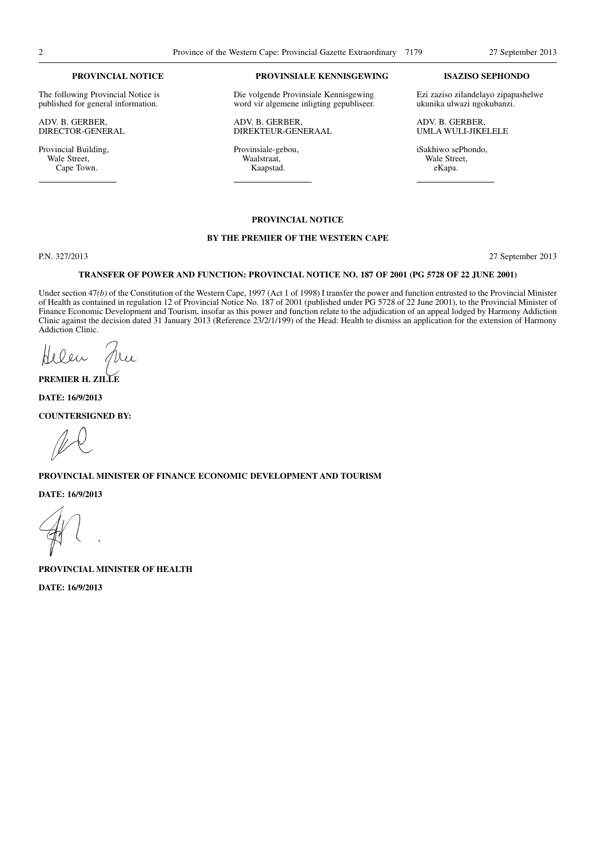#### **PROVINCIAL NOTICE**

The following Provincial Notice is published for general information.

ADV. B. GERBER, DIRECTOR-GENERAL

Provincial Building, Wale Street, Cape Town.

## **PROVINSIALE KENNISGEWING**

Die volgende Provinsiale Kennisgewing word vir algemene inligting gepubliseer.

ADV. B. GERBER, DIREKTEUR-GENERAAL

Provinsiale-gebou, Waalstraat, Kaapstad.

### **ISAZISO SEPHONDO**

Ezi zaziso zilandelayo zipapashelwe ukunika ulwazi ngokubanzi.

ADV. B. GERBER, UMLA WULI-JIKELELE

iSakhiwo sePhondo, Wale Street, eKapa.

## **PROVINCIAL NOTICE**

#### **BY THE PREMIER OF THE WESTERN CAPE**

P.N. 327/2013 27 September 2013

#### **TRANSFER OF POWER AND FUNCTION: PROVINCIAL NOTICE NO. 187 OF 2001 (PG 5728 OF 22 JUNE 2001)**

Under section 47*(b)* of the Constitution of the Western Cape, 1997 (Act 1 of 1998) I transfer the power and function entrusted to the Provincial Minister of Health as contained in regulation 12 of Provincial Notice No. 187 of 2001 (published under PG 5728 of 22 June 2001), to the Provincial Minister of Finance Economic Development and Tourism, insofar as this power and function relate to the adjudication of an appeal lodged by Harmony Addiction Clinic against the decision dated 31 January 2013 (Reference 23/2/1/199) of the Head: Health to dismiss an application for the extension of Harmony Addiction Clinic.

Helen

**PREMIER H. ZILLE**

**DATE: 16/9/2013**

**COUNTERSIGNED BY:**

# **PROVINCIAL MINISTER OF FINANCE ECONOMIC DEVELOPMENT AND TOURISM**

**DATE: 16/9/2013**

**PROVINCIAL MINISTER OF HEALTH**

**DATE: 16/9/2013**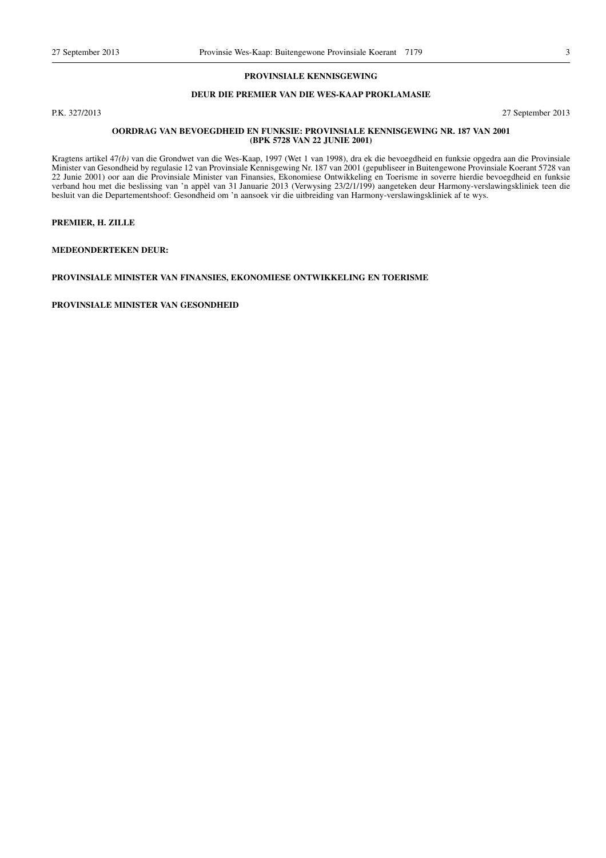# **PROVINSIALE KENNISGEWING**

# **DEUR DIE PREMIER VAN DIE WES-KAAP PROKLAMASIE**

P.K. 327/2013 27 September 2013

#### **OORDRAG VAN BEVOEGDHEID EN FUNKSIE: PROVINSIALE KENNISGEWING NR. 187 VAN 2001 (BPK 5728 VAN 22 JUNIE 2001)**

Kragtens artikel 47*(b)* van die Grondwet van die Wes-Kaap, 1997 (Wet 1 van 1998), dra ek die bevoegdheid en funksie opgedra aan die Provinsiale Minister van Gesondheid by regulasie 12 van Provinsiale Kennisgewing Nr. 187 van 2001 (gepubliseer in Buitengewone Provinsiale Koerant 5728 van 22 Junie 2001) oor aan die Provinsiale Minister van Finansies, Ekonomiese Ontwikkeling en Toerisme in soverre hierdie bevoegdheid en funksie verband hou met die beslissing van 'n appèl van 31 Januarie 2013 (Verwysing 23/2/1/199) aangeteken deur Harmony-verslawingskliniek teen die besluit van die Departementshoof: Gesondheid om 'n aansoek vir die uitbreiding van Harmony-verslawingskliniek af te wys.

# **PREMIER, H. ZILLE**

**MEDEONDERTEKEN DEUR:**

#### **PROVINSIALE MINISTER VAN FINANSIES, EKONOMIESE ONTWIKKELING EN TOERISME**

**PROVINSIALE MINISTER VAN GESONDHEID**